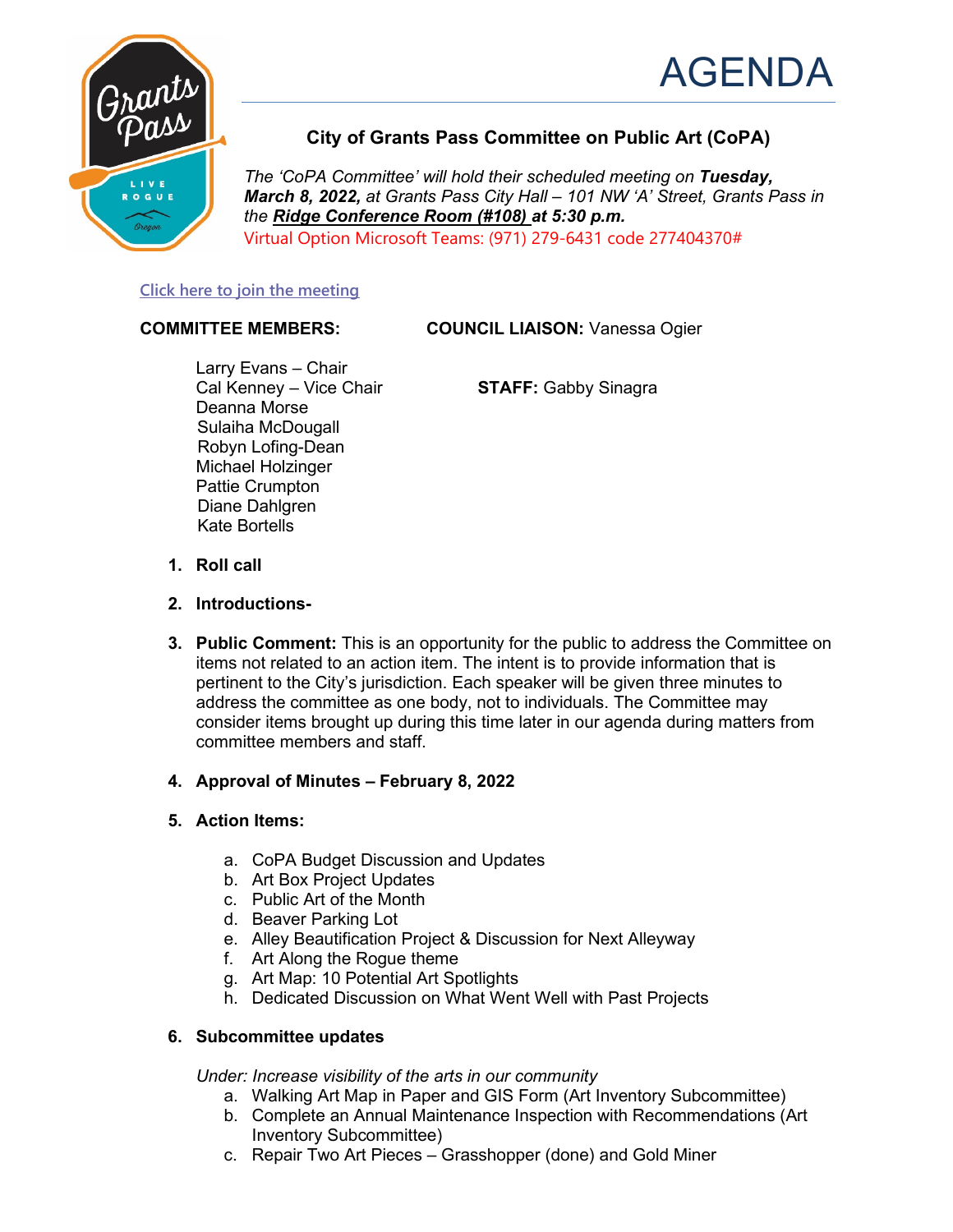



# **City of Grants Pass Committee on Public Art (CoPA)**

*The 'CoPA Committee' will hold their scheduled meeting on Tuesday, March 8, 2022, at Grants Pass City Hall – 101 NW 'A' Street, Grants Pass in the Ridge Conference Room (#108) at 5:30 p.m.* Virtual Option Microsoft Teams: (971) 279-6431 code 277404370#

### **[Click here to join the meeting](https://teams.microsoft.com/l/meetup-join/19%3ameeting_YTBkYmVmYzUtZTQwYy00ODNlLWI5NDItMjc0ODA2MDlmNzBj%40thread.v2/0?context=%7b%22Tid%22%3a%2236963cd6-70d1-4f0d-ba59-6201120bd631%22%2c%22Oid%22%3a%229452d6af-1d15-4d12-aff6-b1989dd4dfc9%22%7d)**

**COMMITTEE MEMBERS: COUNCIL LIAISON:** Vanessa Ogier

Larry Evans – Chair<br>Cal Kenney – Vice Chair Deanna Morse Sulaiha McDougall Robyn Lofing-Dean Michael Holzinger Pattie Crumpton Diane Dahlgren Kate Bortells

**STAFF: Gabby Sinagra** 

- **1. Roll call**
- **2. Introductions-**
- **3. Public Comment:** This is an opportunity for the public to address the Committee on items not related to an action item. The intent is to provide information that is pertinent to the City's jurisdiction. Each speaker will be given three minutes to address the committee as one body, not to individuals. The Committee may consider items brought up during this time later in our agenda during matters from committee members and staff.
- **4. Approval of Minutes – February 8, 2022**

## **5. Action Items:**

- a. CoPA Budget Discussion and Updates
- b. Art Box Project Updates
- c. Public Art of the Month
- d. Beaver Parking Lot
- e. Alley Beautification Project & Discussion for Next Alleyway
- f. Art Along the Rogue theme
- g. Art Map: 10 Potential Art Spotlights
- h. Dedicated Discussion on What Went Well with Past Projects

#### **6. Subcommittee updates**

*Under: Increase visibility of the arts in our community*

- a. Walking Art Map in Paper and GIS Form (Art Inventory Subcommittee)
- b. Complete an Annual Maintenance Inspection with Recommendations (Art Inventory Subcommittee)
- c. Repair Two Art Pieces Grasshopper (done) and Gold Miner